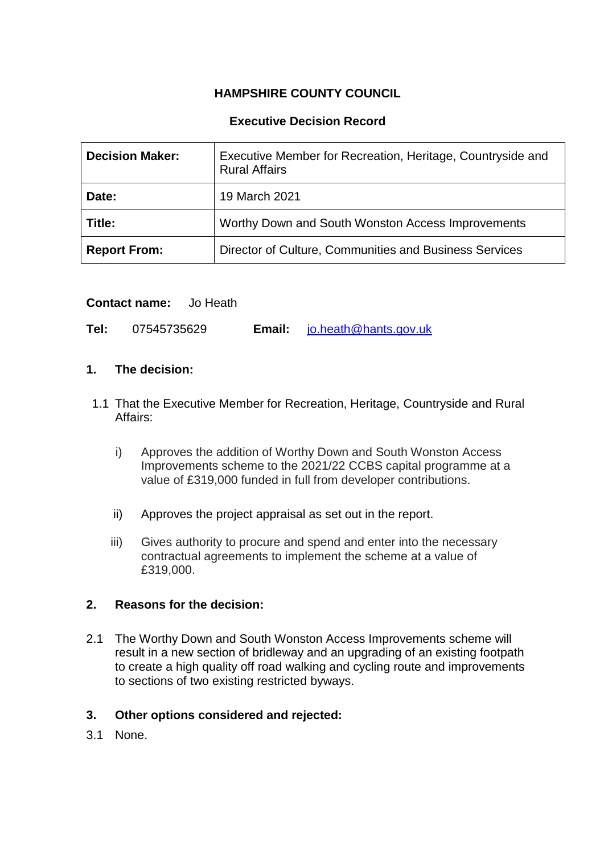# **HAMPSHIRE COUNTY COUNCIL**

# **Executive Decision Record**

| <b>Decision Maker:</b> | Executive Member for Recreation, Heritage, Countryside and<br><b>Rural Affairs</b> |
|------------------------|------------------------------------------------------------------------------------|
| Date:                  | 19 March 2021                                                                      |
| Title:                 | Worthy Down and South Wonston Access Improvements                                  |
| <b>Report From:</b>    | Director of Culture, Communities and Business Services                             |

### **Contact name:** Jo Heath

**Tel:** 07545735629 **Email:** [jo.heath@hants.gov.uk](mailto:jo.heath@hants.gov.uk)

### **1. The decision:**

- 1.1 That the Executive Member for Recreation, Heritage, Countryside and Rural Affairs:
	- i) Approves the addition of Worthy Down and South Wonston Access Improvements scheme to the 2021/22 CCBS capital programme at a value of £319,000 funded in full from developer contributions.
	- ii) Approves the project appraisal as set out in the report.
	- iii) Gives authority to procure and spend and enter into the necessary contractual agreements to implement the scheme at a value of £319,000.

#### **2. Reasons for the decision:**

2.1 The Worthy Down and South Wonston Access Improvements scheme will result in a new section of bridleway and an upgrading of an existing footpath to create a high quality off road walking and cycling route and improvements to sections of two existing restricted byways.

#### **3. Other options considered and rejected:**

3.1 None.